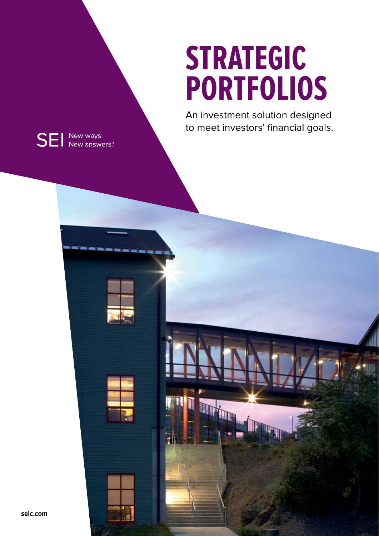# **STRATEGIC PORTFOLIOS**

An investment solution designed to meet investors' financial goals.



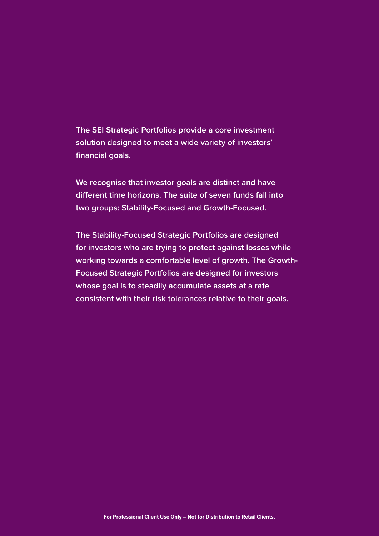**The SEI Strategic Portfolios provide a core investment solution designed to meet a wide variety of investors' financial goals.** 

**We recognise that investor goals are distinct and have different time horizons. The suite of seven funds fall into two groups: Stability-Focused and Growth-Focused.** 

**The Stability-Focused Strategic Portfolios are designed for investors who are trying to protect against losses while working towards a comfortable level of growth. The Growth-Focused Strategic Portfolios are designed for investors whose goal is to steadily accumulate assets at a rate consistent with their risk tolerances relative to their goals.**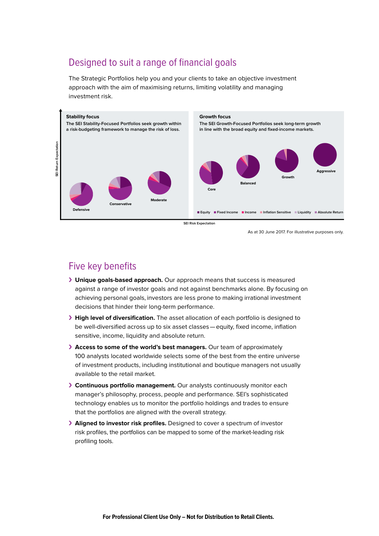## Designed to suit a range of financial goals

The Strategic Portfolios help you and your clients to take an objective investment approach with the aim of maximising returns, limiting volatility and managing investment risk.



**SEI Risk Expectation**

As at 30 June 2017. For illustrative purposes only.

### Five key benefits

- › **Unique goals-based approach.** Our approach means that success is measured against a range of investor goals and not against benchmarks alone. By focusing on achieving personal goals, investors are less prone to making irrational investment decisions that hinder their long-term performance.
- › **High level of diversification.** The asset allocation of each portfolio is designed to be well-diversified across up to six asset classes—equity, fixed income, inflation sensitive, income, liquidity and absolute return.
- › **Access to some of the world's best managers.** Our team of approximately 100 analysts located worldwide selects some of the best from the entire universe of investment products, including institutional and boutique managers not usually available to the retail market.
- › **Continuous portfolio management.** Our analysts continuously monitor each manager's philosophy, process, people and performance. SEI's sophisticated technology enables us to monitor the portfolio holdings and trades to ensure that the portfolios are aligned with the overall strategy.
- › **Aligned to investor risk profiles.** Designed to cover a spectrum of investor risk profiles, the portfolios can be mapped to some of the market-leading risk profiling tools.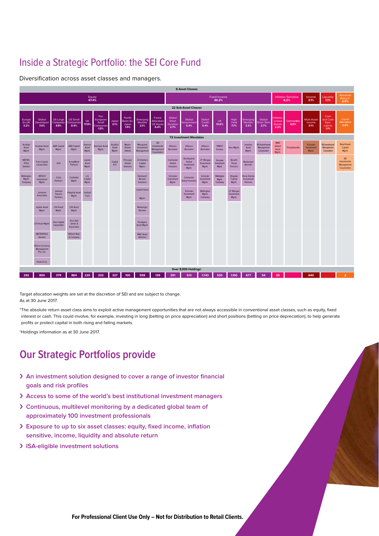## Inside a Strategic Portfolio: the SEI Core Fund

Diversification across asset classes and managers.



Target allocation weights are set at the discretion of SEI and are subject to change. As at 30 June 2017.

\*The absolute return asset class aims to exploit active management opportunities that are not always accessible in conventional asset classes, such as equity, fixed interest or cash. This could involve, for example, investing in long (betting on price appreciation) and short positions (betting on price depreciation), to help generate profits or protect capital in both rising and falling markets.

†Holdings information as at 30 June 2017.

## **Our Strategic Portfolios provide**

- › **An investment solution designed to cover a range of investor financial goals and risk profiles**
- › **Access to some of the world's best institutional investment managers**
- › **Continuous, multilevel monitoring by a dedicated global team of approximately 100 investment professionals**
- › **Exposure to up to six asset classes: equity, fixed income, inflation sensitive, income, liquidity and absolute return**
- › **ISA-eligible investment solutions**

**For Professional Client Use Only – Not for Distribution to Retail Clients.**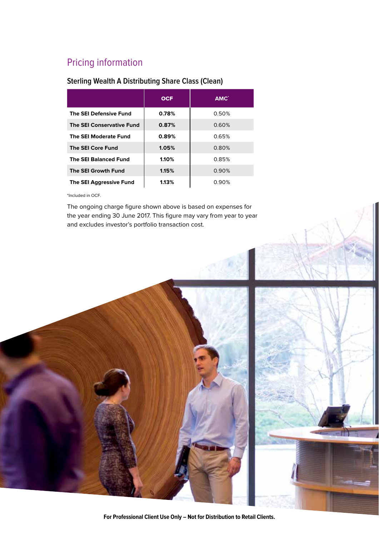## Pricing information

#### **Sterling Wealth A Distributing Share Class (Clean)**

|                                  | <b>OCF</b> | AMC <sup>*</sup> |
|----------------------------------|------------|------------------|
| <b>The SEI Defensive Fund</b>    | 0.78%      | 0.50%            |
| <b>The SEI Conservative Fund</b> | 0.87%      | 0.60%            |
| The SEI Moderate Fund            | 0.89%      | 0.65%            |
| <b>The SEI Core Fund</b>         | 1.05%      | 0.80%            |
| <b>The SEI Balanced Fund</b>     | 1.10%      | 0.85%            |
| <b>The SEI Growth Fund</b>       | 1.15%      | 0.90%            |
| <b>The SEI Aggressive Fund</b>   | 1.13%      | 0.90%            |

\*Included in OCF.

The ongoing charge figure shown above is based on expenses for the year ending 30 June 2017. This figure may vary from year to year and excludes investor's portfolio transaction cost.



**For Professional Client Use Only – Not for Distribution to Retail Clients.**